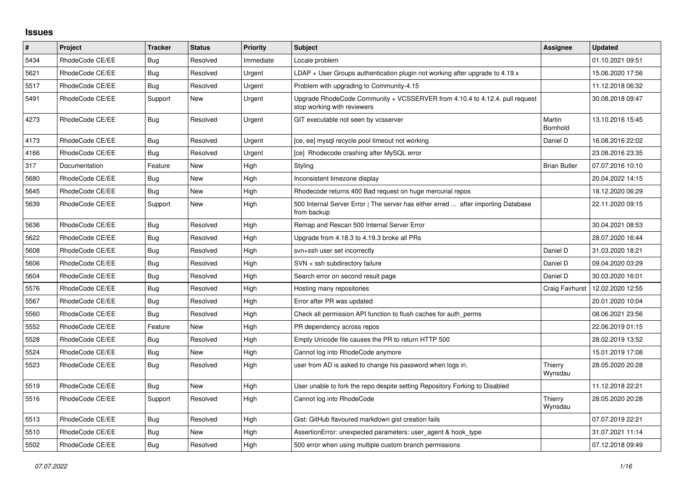## **Issues**

| #    | Project         | <b>Tracker</b> | <b>Status</b> | <b>Priority</b> | <b>Subject</b>                                                                                             | Assignee            | <b>Updated</b>   |
|------|-----------------|----------------|---------------|-----------------|------------------------------------------------------------------------------------------------------------|---------------------|------------------|
| 5434 | RhodeCode CE/EE | <b>Bug</b>     | Resolved      | Immediate       | Locale problem                                                                                             |                     | 01.10.2021 09:51 |
| 5621 | RhodeCode CE/EE | Bug            | Resolved      | Urgent          | $LDAP + User Groups$ authentication plugin not working after upgrade to 4.19. $x$                          |                     | 15.06.2020 17:56 |
| 5517 | RhodeCode CE/EE | Bug            | Resolved      | Urgent          | Problem with upgrading to Community-4.15                                                                   |                     | 11.12.2018 06:32 |
| 5491 | RhodeCode CE/EE | Support        | <b>New</b>    | Urgent          | Upgrade RhodeCode Community + VCSSERVER from 4.10.4 to 4.12.4, pull request<br>stop working with reviewers |                     | 30.08.2018 09:47 |
| 4273 | RhodeCode CE/EE | Bug            | Resolved      | Urgent          | GIT executable not seen by vcsserver                                                                       | Martin<br>Bornhold  | 13.10.2016 15:45 |
| 4173 | RhodeCode CE/EE | Bug            | Resolved      | Urgent          | [ce, ee] mysql recycle pool timeout not working                                                            | Daniel D            | 16.08.2016 22:02 |
| 4166 | RhodeCode CE/EE | <b>Bug</b>     | Resolved      | Urgent          | [ce] Rhodecode crashing after MySQL error                                                                  |                     | 23.08.2016 23:35 |
| 317  | Documentation   | Feature        | <b>New</b>    | High            | Styling                                                                                                    | <b>Brian Butler</b> | 07.07.2016 10:10 |
| 5680 | RhodeCode CE/EE | Bug            | New           | High            | Inconsistent timezone display                                                                              |                     | 20.04.2022 14:15 |
| 5645 | RhodeCode CE/EE | Bug            | <b>New</b>    | High            | Rhodecode returns 400 Bad request on huge mercurial repos                                                  |                     | 18.12.2020 06:29 |
| 5639 | RhodeCode CE/EE | Support        | New           | High            | 500 Internal Server Error   The server has either erred  after importing Database<br>from backup           |                     | 22.11.2020 09:15 |
| 5636 | RhodeCode CE/EE | <b>Bug</b>     | Resolved      | High            | Remap and Rescan 500 Internal Server Error                                                                 |                     | 30.04.2021 08:53 |
| 5622 | RhodeCode CE/EE | Bug            | Resolved      | High            | Upgrade from 4.18.3 to 4.19.3 broke all PRs                                                                |                     | 28.07.2020 16:44 |
| 5608 | RhodeCode CE/EE | Bug            | Resolved      | High            | svn+ssh user set incorrectly                                                                               | Daniel D            | 31.03.2020 18:21 |
| 5606 | RhodeCode CE/EE | <b>Bug</b>     | Resolved      | High            | SVN + ssh subdirectory failure                                                                             | Daniel D            | 09.04.2020 03:29 |
| 5604 | RhodeCode CE/EE | Bug            | Resolved      | High            | Search error on second result page                                                                         | Daniel D            | 30.03.2020 16:01 |
| 5576 | RhodeCode CE/EE | Bug            | Resolved      | High            | Hosting many repositories                                                                                  | Craig Fairhurst     | 12.02.2020 12:55 |
| 5567 | RhodeCode CE/EE | Bug            | Resolved      | High            | Error after PR was updated                                                                                 |                     | 20.01.2020 10:04 |
| 5560 | RhodeCode CE/EE | Bug            | Resolved      | High            | Check all permission API function to flush caches for auth perms                                           |                     | 08.06.2021 23:56 |
| 5552 | RhodeCode CE/EE | Feature        | <b>New</b>    | High            | PR dependency across repos                                                                                 |                     | 22.06.2019 01:15 |
| 5528 | RhodeCode CE/EE | Bug            | Resolved      | High            | Empty Unicode file causes the PR to return HTTP 500                                                        |                     | 28.02.2019 13:52 |
| 5524 | RhodeCode CE/EE | Bug            | <b>New</b>    | High            | Cannot log into RhodeCode anymore                                                                          |                     | 15.01.2019 17:08 |
| 5523 | RhodeCode CE/EE | Bug            | Resolved      | High            | user from AD is asked to change his password when logs in.                                                 | Thierry<br>Wynsdau  | 28.05.2020 20:28 |
| 5519 | RhodeCode CE/EE | Bug            | <b>New</b>    | High            | User unable to fork the repo despite setting Repository Forking to Disabled                                |                     | 11.12.2018 22:21 |
| 5516 | RhodeCode CE/EE | Support        | Resolved      | High            | Cannot log into RhodeCode                                                                                  | Thierry<br>Wynsdau  | 28.05.2020 20:28 |
| 5513 | RhodeCode CE/EE | Bug            | Resolved      | High            | Gist: GitHub flavoured markdown gist creation fails                                                        |                     | 07.07.2019 22:21 |
| 5510 | RhodeCode CE/EE | Bug            | New           | High            | AssertionError: unexpected parameters: user agent & hook type                                              |                     | 31.07.2021 11:14 |
| 5502 | RhodeCode CE/EE | Bug            | Resolved      | High            | 500 error when using multiple custom branch permissions                                                    |                     | 07.12.2018 09:49 |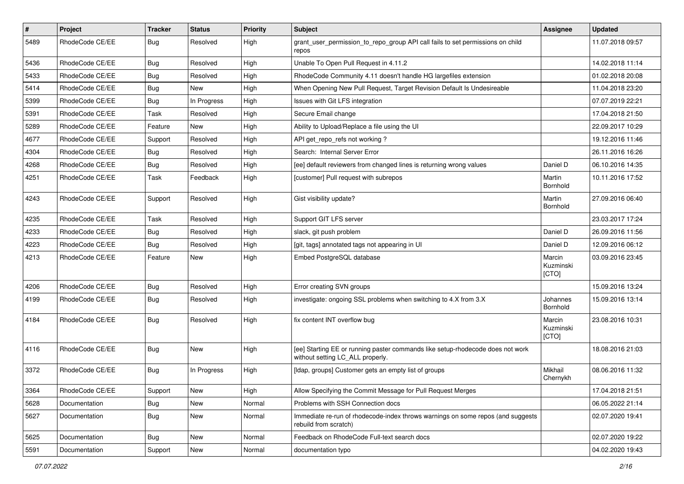| #    | Project              | <b>Tracker</b> | <b>Status</b> | <b>Priority</b> | <b>Subject</b>                                                                                                     | <b>Assignee</b>              | <b>Updated</b>   |
|------|----------------------|----------------|---------------|-----------------|--------------------------------------------------------------------------------------------------------------------|------------------------------|------------------|
| 5489 | RhodeCode CE/EE      | Bug            | Resolved      | High            | grant_user_permission_to_repo_group API call fails to set permissions on child<br>repos                            |                              | 11.07.2018 09:57 |
| 5436 | RhodeCode CE/EE      | Bug            | Resolved      | High            | Unable To Open Pull Request in 4.11.2                                                                              |                              | 14.02.2018 11:14 |
| 5433 | RhodeCode CE/EE      | Bug            | Resolved      | High            | RhodeCode Community 4.11 doesn't handle HG largefiles extension                                                    |                              | 01.02.2018 20:08 |
| 5414 | RhodeCode CE/EE      | <b>Bug</b>     | <b>New</b>    | High            | When Opening New Pull Request, Target Revision Default Is Undesireable                                             |                              | 11.04.2018 23:20 |
| 5399 | RhodeCode CE/EE      | Bug            | In Progress   | High            | Issues with Git LFS integration                                                                                    |                              | 07.07.2019 22:21 |
| 5391 | RhodeCode CE/EE      | Task           | Resolved      | High            | Secure Email change                                                                                                |                              | 17.04.2018 21:50 |
| 5289 | RhodeCode CE/EE      | Feature        | New           | High            | Ability to Upload/Replace a file using the UI                                                                      |                              | 22.09.2017 10:29 |
| 4677 | RhodeCode CE/EE      | Support        | Resolved      | High            | API get_repo_refs not working?                                                                                     |                              | 19.12.2016 11:46 |
| 4304 | RhodeCode CE/EE      | Bug            | Resolved      | High            | Search: Internal Server Error                                                                                      |                              | 26.11.2016 16:26 |
| 4268 | RhodeCode CE/EE      | Bug            | Resolved      | High            | [ee] default reviewers from changed lines is returning wrong values                                                | Daniel D                     | 06.10.2016 14:35 |
| 4251 | RhodeCode CE/EE      | Task           | Feedback      | High            | [customer] Pull request with subrepos                                                                              | Martin<br>Bornhold           | 10.11.2016 17:52 |
| 4243 | RhodeCode CE/EE      | Support        | Resolved      | High            | Gist visibility update?                                                                                            | Martin<br>Bornhold           | 27.09.2016 06:40 |
| 4235 | RhodeCode CE/EE      | Task           | Resolved      | High            | Support GIT LFS server                                                                                             |                              | 23.03.2017 17:24 |
| 4233 | RhodeCode CE/EE      | Bug            | Resolved      | High            | slack, git push problem                                                                                            | Daniel D                     | 26.09.2016 11:56 |
| 4223 | RhodeCode CE/EE      | Bug            | Resolved      | High            | [git, tags] annotated tags not appearing in UI                                                                     | Daniel D                     | 12.09.2016 06:12 |
| 4213 | RhodeCode CE/EE      | Feature        | <b>New</b>    | High            | Embed PostgreSQL database                                                                                          | Marcin<br>Kuzminski<br>[CTO] | 03.09.2016 23:45 |
| 4206 | RhodeCode CE/EE      | Bug            | Resolved      | High            | Error creating SVN groups                                                                                          |                              | 15.09.2016 13:24 |
| 4199 | RhodeCode CE/EE      | Bug            | Resolved      | High            | investigate: ongoing SSL problems when switching to 4.X from 3.X                                                   | Johannes<br>Bornhold         | 15.09.2016 13:14 |
| 4184 | RhodeCode CE/EE      | Bug            | Resolved      | High            | fix content INT overflow bug                                                                                       | Marcin<br>Kuzminski<br>[CTO] | 23.08.2016 10:31 |
| 4116 | RhodeCode CE/EE      | Bug            | <b>New</b>    | High            | [ee] Starting EE or running paster commands like setup-rhodecode does not work<br>without setting LC_ALL properly. |                              | 18.08.2016 21:03 |
| 3372 | RhodeCode CE/EE      | Bug            | In Progress   | High            | [Idap, groups] Customer gets an empty list of groups                                                               | Mikhail<br>Chernykh          | 08.06.2016 11:32 |
| 3364 | RhodeCode CE/EE      | Support        | New           | High            | Allow Specifying the Commit Message for Pull Request Merges                                                        |                              | 17.04.2018 21:51 |
| 5628 | <b>Documentation</b> | <b>Bug</b>     | New           | Normal          | Problems with SSH Connection docs                                                                                  |                              | 06.05.2022 21:14 |
| 5627 | Documentation        | Bug            | New           | Normal          | Immediate re-run of rhodecode-index throws warnings on some repos (and suggests<br>rebuild from scratch)           |                              | 02.07.2020 19:41 |
| 5625 | Documentation        | Bug            | New           | Normal          | Feedback on RhodeCode Full-text search docs                                                                        |                              | 02.07.2020 19:22 |
| 5591 | <b>Documentation</b> | Support        | New           | Normal          | documentation typo                                                                                                 |                              | 04.02.2020 19:43 |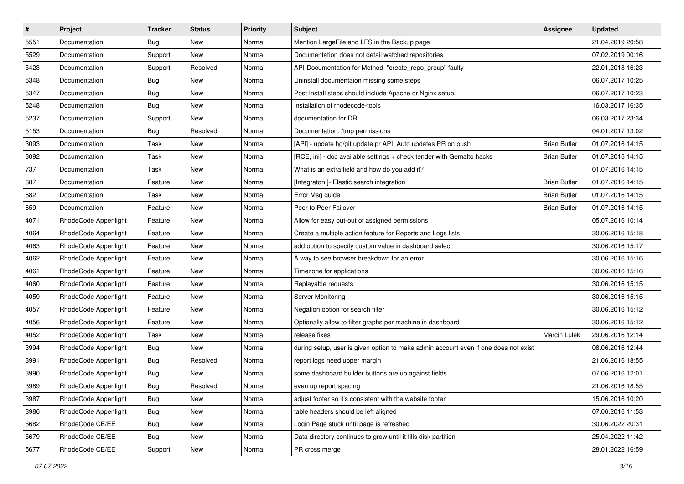| $\vert$ # | Project              | Tracker    | <b>Status</b> | <b>Priority</b> | <b>Subject</b>                                                                      | <b>Assignee</b>     | <b>Updated</b>   |
|-----------|----------------------|------------|---------------|-----------------|-------------------------------------------------------------------------------------|---------------------|------------------|
| 5551      | Documentation        | <b>Bug</b> | New           | Normal          | Mention LargeFile and LFS in the Backup page                                        |                     | 21.04.2019 20:58 |
| 5529      | Documentation        | Support    | New           | Normal          | Documentation does not detail watched repositories                                  |                     | 07.02.2019 00:16 |
| 5423      | Documentation        | Support    | Resolved      | Normal          | API-Documentation for Method "create_repo_group" faulty                             |                     | 22.01.2018 16:23 |
| 5348      | Documentation        | <b>Bug</b> | New           | Normal          | Uninstall documentaion missing some steps                                           |                     | 06.07.2017 10:25 |
| 5347      | Documentation        | Bug        | New           | Normal          | Post Install steps should include Apache or Nginx setup.                            |                     | 06.07.2017 10:23 |
| 5248      | Documentation        | Bug        | New           | Normal          | Installation of rhodecode-tools                                                     |                     | 16.03.2017 16:35 |
| 5237      | Documentation        | Support    | New           | Normal          | documentation for DR                                                                |                     | 06.03.2017 23:34 |
| 5153      | Documentation        | <b>Bug</b> | Resolved      | Normal          | Documentation: /tmp permissions                                                     |                     | 04.01.2017 13:02 |
| 3093      | Documentation        | Task       | New           | Normal          | [API] - update hg/git update pr API. Auto updates PR on push                        | <b>Brian Butler</b> | 01.07.2016 14:15 |
| 3092      | Documentation        | Task       | New           | Normal          | [RCE, ini] - doc available settings + check tender with Gemalto hacks               | <b>Brian Butler</b> | 01.07.2016 14:15 |
| 737       | Documentation        | Task       | New           | Normal          | What is an extra field and how do you add it?                                       |                     | 01.07.2016 14:15 |
| 687       | Documentation        | Feature    | New           | Normal          | [Integraton ]- Elastic search integration                                           | <b>Brian Butler</b> | 01.07.2016 14:15 |
| 682       | Documentation        | Task       | New           | Normal          | Error Msg guide                                                                     | <b>Brian Butler</b> | 01.07.2016 14:15 |
| 659       | Documentation        | Feature    | New           | Normal          | Peer to Peer Failover                                                               | <b>Brian Butler</b> | 01.07.2016 14:15 |
| 4071      | RhodeCode Appenlight | Feature    | New           | Normal          | Allow for easy out-out of assigned permissions                                      |                     | 05.07.2016 10:14 |
| 4064      | RhodeCode Appenlight | Feature    | New           | Normal          | Create a multiple action feature for Reports and Logs lists                         |                     | 30.06.2016 15:18 |
| 4063      | RhodeCode Appenlight | Feature    | New           | Normal          | add option to specify custom value in dashboard select                              |                     | 30.06.2016 15:17 |
| 4062      | RhodeCode Appenlight | Feature    | New           | Normal          | A way to see browser breakdown for an error                                         |                     | 30.06.2016 15:16 |
| 4061      | RhodeCode Appenlight | Feature    | New           | Normal          | Timezone for applications                                                           |                     | 30.06.2016 15:16 |
| 4060      | RhodeCode Appenlight | Feature    | New           | Normal          | Replayable requests                                                                 |                     | 30.06.2016 15:15 |
| 4059      | RhodeCode Appenlight | Feature    | New           | Normal          | Server Monitoring                                                                   |                     | 30.06.2016 15:15 |
| 4057      | RhodeCode Appenlight | Feature    | New           | Normal          | Negation option for search filter                                                   |                     | 30.06.2016 15:12 |
| 4056      | RhodeCode Appenlight | Feature    | New           | Normal          | Optionally allow to filter graphs per machine in dashboard                          |                     | 30.06.2016 15:12 |
| 4052      | RhodeCode Appenlight | Task       | New           | Normal          | release fixes                                                                       | <b>Marcin Lulek</b> | 29.06.2016 12:14 |
| 3994      | RhodeCode Appenlight | Bug        | New           | Normal          | during setup, user is given option to make admin account even if one does not exist |                     | 08.06.2016 12:44 |
| 3991      | RhodeCode Appenlight | Bug        | Resolved      | Normal          | report logs need upper margin                                                       |                     | 21.06.2016 18:55 |
| 3990      | RhodeCode Appenlight | Bug        | New           | Normal          | some dashboard builder buttons are up against fields                                |                     | 07.06.2016 12:01 |
| 3989      | RhodeCode Appenlight | Bug        | Resolved      | Normal          | even up report spacing                                                              |                     | 21.06.2016 18:55 |
| 3987      | RhodeCode Appenlight | Bug        | New           | Normal          | adjust footer so it's consistent with the website footer                            |                     | 15.06.2016 10:20 |
| 3986      | RhodeCode Appenlight | <b>Bug</b> | New           | Normal          | table headers should be left aligned                                                |                     | 07.06.2016 11:53 |
| 5682      | RhodeCode CE/EE      | Bug        | New           | Normal          | Login Page stuck until page is refreshed                                            |                     | 30.06.2022 20:31 |
| 5679      | RhodeCode CE/EE      | Bug        | New           | Normal          | Data directory continues to grow until it fills disk partition                      |                     | 25.04.2022 11:42 |
| 5677      | RhodeCode CE/EE      | Support    | New           | Normal          | PR cross merge                                                                      |                     | 28.01.2022 16:59 |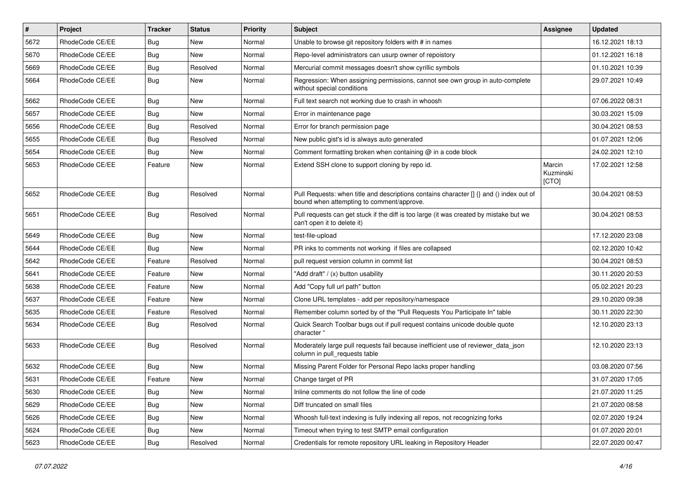| $\vert$ # | Project         | <b>Tracker</b> | <b>Status</b> | <b>Priority</b> | <b>Subject</b>                                                                                                                       | Assignee                     | <b>Updated</b>   |
|-----------|-----------------|----------------|---------------|-----------------|--------------------------------------------------------------------------------------------------------------------------------------|------------------------------|------------------|
| 5672      | RhodeCode CE/EE | <b>Bug</b>     | New           | Normal          | Unable to browse git repository folders with # in names                                                                              |                              | 16.12.2021 18:13 |
| 5670      | RhodeCode CE/EE | <b>Bug</b>     | <b>New</b>    | Normal          | Repo-level administrators can usurp owner of repoistory                                                                              |                              | 01.12.2021 16:18 |
| 5669      | RhodeCode CE/EE | Bug            | Resolved      | Normal          | Mercurial commit messages doesn't show cyrillic symbols                                                                              |                              | 01.10.2021 10:39 |
| 5664      | RhodeCode CE/EE | Bug            | New           | Normal          | Regression: When assigning permissions, cannot see own group in auto-complete<br>without special conditions                          |                              | 29.07.2021 10:49 |
| 5662      | RhodeCode CE/EE | Bug            | <b>New</b>    | Normal          | Full text search not working due to crash in whoosh                                                                                  |                              | 07.06.2022 08:31 |
| 5657      | RhodeCode CE/EE | Bug            | New           | Normal          | Error in maintenance page                                                                                                            |                              | 30.03.2021 15:09 |
| 5656      | RhodeCode CE/EE | Bug            | Resolved      | Normal          | Error for branch permission page                                                                                                     |                              | 30.04.2021 08:53 |
| 5655      | RhodeCode CE/EE | Bug            | Resolved      | Normal          | New public gist's id is always auto generated                                                                                        |                              | 01.07.2021 12:06 |
| 5654      | RhodeCode CE/EE | Bug            | New           | Normal          | Comment formatting broken when containing @ in a code block                                                                          |                              | 24.02.2021 12:10 |
| 5653      | RhodeCode CE/EE | Feature        | New           | Normal          | Extend SSH clone to support cloning by repo id.                                                                                      | Marcin<br>Kuzminski<br>[CTO] | 17.02.2021 12:58 |
| 5652      | RhodeCode CE/EE | Bug            | Resolved      | Normal          | Pull Requests: when title and descriptions contains character [] {} and () index out of<br>bound when attempting to comment/approve. |                              | 30.04.2021 08:53 |
| 5651      | RhodeCode CE/EE | Bug            | Resolved      | Normal          | Pull requests can get stuck if the diff is too large (it was created by mistake but we<br>can't open it to delete it)                |                              | 30.04.2021 08:53 |
| 5649      | RhodeCode CE/EE | Bug            | <b>New</b>    | Normal          | test-file-upload                                                                                                                     |                              | 17.12.2020 23:08 |
| 5644      | RhodeCode CE/EE | Bug            | New           | Normal          | PR inks to comments not working if files are collapsed                                                                               |                              | 02.12.2020 10:42 |
| 5642      | RhodeCode CE/EE | Feature        | Resolved      | Normal          | pull request version column in commit list                                                                                           |                              | 30.04.2021 08:53 |
| 5641      | RhodeCode CE/EE | Feature        | New           | Normal          | "Add draft" / (x) button usability                                                                                                   |                              | 30.11.2020 20:53 |
| 5638      | RhodeCode CE/EE | Feature        | New           | Normal          | Add "Copy full url path" button                                                                                                      |                              | 05.02.2021 20:23 |
| 5637      | RhodeCode CE/EE | Feature        | New           | Normal          | Clone URL templates - add per repository/namespace                                                                                   |                              | 29.10.2020 09:38 |
| 5635      | RhodeCode CE/EE | Feature        | Resolved      | Normal          | Remember column sorted by of the "Pull Requests You Participate In" table                                                            |                              | 30.11.2020 22:30 |
| 5634      | RhodeCode CE/EE | Bug            | Resolved      | Normal          | Quick Search Toolbar bugs out if pull request contains unicode double quote<br>character "                                           |                              | 12.10.2020 23:13 |
| 5633      | RhodeCode CE/EE | Bug            | Resolved      | Normal          | Moderately large pull requests fail because inefficient use of reviewer_data_json<br>column in pull requests table                   |                              | 12.10.2020 23:13 |
| 5632      | RhodeCode CE/EE | Bug            | <b>New</b>    | Normal          | Missing Parent Folder for Personal Repo lacks proper handling                                                                        |                              | 03.08.2020 07:56 |
| 5631      | RhodeCode CE/EE | Feature        | New           | Normal          | Change target of PR                                                                                                                  |                              | 31.07.2020 17:05 |
| 5630      | RhodeCode CE/EE | Bug            | New           | Normal          | Inline comments do not follow the line of code                                                                                       |                              | 21.07.2020 11:25 |
| 5629      | RhodeCode CE/EE | Bug            | New           | Normal          | Diff truncated on small files                                                                                                        |                              | 21.07.2020 08:58 |
| 5626      | RhodeCode CE/EE | Bug            | New           | Normal          | Whoosh full-text indexing is fully indexing all repos, not recognizing forks                                                         |                              | 02.07.2020 19:24 |
| 5624      | RhodeCode CE/EE | <b>Bug</b>     | New           | Normal          | Timeout when trying to test SMTP email configuration                                                                                 |                              | 01.07.2020 20:01 |
| 5623      | RhodeCode CE/EE | Bug            | Resolved      | Normal          | Credentials for remote repository URL leaking in Repository Header                                                                   |                              | 22.07.2020 00:47 |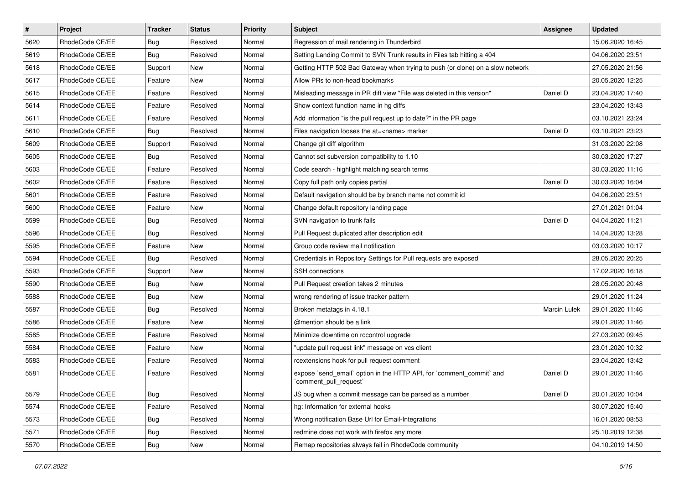| $\vert$ # | Project         | <b>Tracker</b> | <b>Status</b> | <b>Priority</b> | <b>Subject</b>                                                                                 | <b>Assignee</b> | <b>Updated</b>   |
|-----------|-----------------|----------------|---------------|-----------------|------------------------------------------------------------------------------------------------|-----------------|------------------|
| 5620      | RhodeCode CE/EE | Bug            | Resolved      | Normal          | Regression of mail rendering in Thunderbird                                                    |                 | 15.06.2020 16:45 |
| 5619      | RhodeCode CE/EE | Bug            | Resolved      | Normal          | Setting Landing Commit to SVN Trunk results in Files tab hitting a 404                         |                 | 04.06.2020 23:51 |
| 5618      | RhodeCode CE/EE | Support        | New           | Normal          | Getting HTTP 502 Bad Gateway when trying to push (or clone) on a slow network                  |                 | 27.05.2020 21:56 |
| 5617      | RhodeCode CE/EE | Feature        | New           | Normal          | Allow PRs to non-head bookmarks                                                                |                 | 20.05.2020 12:25 |
| 5615      | RhodeCode CE/EE | Feature        | Resolved      | Normal          | Misleading message in PR diff view "File was deleted in this version"                          | Daniel D        | 23.04.2020 17:40 |
| 5614      | RhodeCode CE/EE | Feature        | Resolved      | Normal          | Show context function name in hg diffs                                                         |                 | 23.04.2020 13:43 |
| 5611      | RhodeCode CE/EE | Feature        | Resolved      | Normal          | Add information "is the pull request up to date?" in the PR page                               |                 | 03.10.2021 23:24 |
| 5610      | RhodeCode CE/EE | <b>Bug</b>     | Resolved      | Normal          | Files navigation looses the at= <name> marker</name>                                           | Daniel D        | 03.10.2021 23:23 |
| 5609      | RhodeCode CE/EE | Support        | Resolved      | Normal          | Change git diff algorithm                                                                      |                 | 31.03.2020 22:08 |
| 5605      | RhodeCode CE/EE | Bug            | Resolved      | Normal          | Cannot set subversion compatibility to 1.10                                                    |                 | 30.03.2020 17:27 |
| 5603      | RhodeCode CE/EE | Feature        | Resolved      | Normal          | Code search - highlight matching search terms                                                  |                 | 30.03.2020 11:16 |
| 5602      | RhodeCode CE/EE | Feature        | Resolved      | Normal          | Copy full path only copies partial                                                             | Daniel D        | 30.03.2020 16:04 |
| 5601      | RhodeCode CE/EE | Feature        | Resolved      | Normal          | Default navigation should be by branch name not commit id                                      |                 | 04.06.2020 23:51 |
| 5600      | RhodeCode CE/EE | Feature        | New           | Normal          | Change default repository landing page                                                         |                 | 27.01.2021 01:04 |
| 5599      | RhodeCode CE/EE | Bug            | Resolved      | Normal          | SVN navigation to trunk fails                                                                  | Daniel D        | 04.04.2020 11:21 |
| 5596      | RhodeCode CE/EE | Bug            | Resolved      | Normal          | Pull Request duplicated after description edit                                                 |                 | 14.04.2020 13:28 |
| 5595      | RhodeCode CE/EE | Feature        | New           | Normal          | Group code review mail notification                                                            |                 | 03.03.2020 10:17 |
| 5594      | RhodeCode CE/EE | Bug            | Resolved      | Normal          | Credentials in Repository Settings for Pull requests are exposed                               |                 | 28.05.2020 20:25 |
| 5593      | RhodeCode CE/EE | Support        | New           | Normal          | <b>SSH</b> connections                                                                         |                 | 17.02.2020 16:18 |
| 5590      | RhodeCode CE/EE | Bug            | New           | Normal          | Pull Request creation takes 2 minutes                                                          |                 | 28.05.2020 20:48 |
| 5588      | RhodeCode CE/EE | <b>Bug</b>     | New           | Normal          | wrong rendering of issue tracker pattern                                                       |                 | 29.01.2020 11:24 |
| 5587      | RhodeCode CE/EE | Bug            | Resolved      | Normal          | Broken metatags in 4.18.1                                                                      | Marcin Lulek    | 29.01.2020 11:46 |
| 5586      | RhodeCode CE/EE | Feature        | <b>New</b>    | Normal          | @mention should be a link                                                                      |                 | 29.01.2020 11:46 |
| 5585      | RhodeCode CE/EE | Feature        | Resolved      | Normal          | Minimize downtime on rccontrol upgrade                                                         |                 | 27.03.2020 09:45 |
| 5584      | RhodeCode CE/EE | Feature        | New           | Normal          | "update pull request link" message on vcs client                                               |                 | 23.01.2020 10:32 |
| 5583      | RhodeCode CE/EE | Feature        | Resolved      | Normal          | rcextensions hook for pull request comment                                                     |                 | 23.04.2020 13:42 |
| 5581      | RhodeCode CE/EE | Feature        | Resolved      | Normal          | expose `send_email` option in the HTTP API, for `comment_commit` and<br>`comment_pull_request` | Daniel D        | 29.01.2020 11:46 |
| 5579      | RhodeCode CE/EE | Bug            | Resolved      | Normal          | JS bug when a commit message can be parsed as a number                                         | Daniel D        | 20.01.2020 10:04 |
| 5574      | RhodeCode CE/EE | Feature        | Resolved      | Normal          | hg: Information for external hooks                                                             |                 | 30.07.2020 15:40 |
| 5573      | RhodeCode CE/EE | <b>Bug</b>     | Resolved      | Normal          | Wrong notification Base Url for Email-Integrations                                             |                 | 16.01.2020 08:53 |
| 5571      | RhodeCode CE/EE | <b>Bug</b>     | Resolved      | Normal          | redmine does not work with firefox any more                                                    |                 | 25.10.2019 12:38 |
| 5570      | RhodeCode CE/EE | <b>Bug</b>     | New           | Normal          | Remap repositories always fail in RhodeCode community                                          |                 | 04.10.2019 14:50 |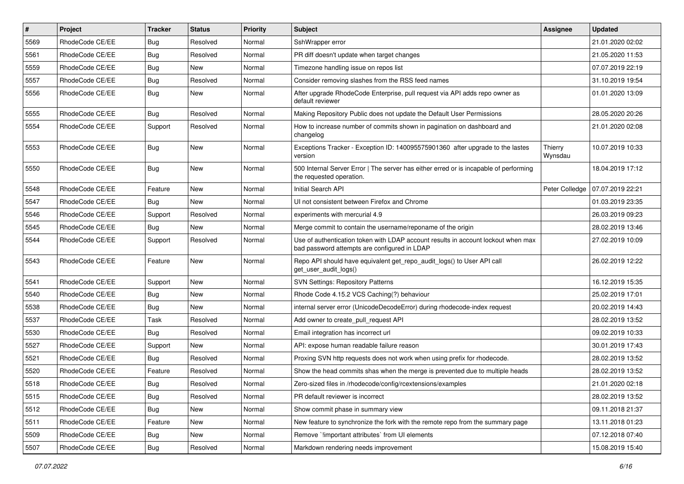| $\pmb{\#}$ | <b>Project</b>  | <b>Tracker</b> | <b>Status</b> | <b>Priority</b> | Subject                                                                                                                           | Assignee           | <b>Updated</b>   |
|------------|-----------------|----------------|---------------|-----------------|-----------------------------------------------------------------------------------------------------------------------------------|--------------------|------------------|
| 5569       | RhodeCode CE/EE | Bug            | Resolved      | Normal          | SshWrapper error                                                                                                                  |                    | 21.01.2020 02:02 |
| 5561       | RhodeCode CE/EE | Bug            | Resolved      | Normal          | PR diff doesn't update when target changes                                                                                        |                    | 21.05.2020 11:53 |
| 5559       | RhodeCode CE/EE | Bug            | New           | Normal          | Timezone handling issue on repos list                                                                                             |                    | 07.07.2019 22:19 |
| 5557       | RhodeCode CE/EE | Bug            | Resolved      | Normal          | Consider removing slashes from the RSS feed names                                                                                 |                    | 31.10.2019 19:54 |
| 5556       | RhodeCode CE/EE | Bug            | <b>New</b>    | Normal          | After upgrade RhodeCode Enterprise, pull request via API adds repo owner as<br>default reviewer                                   |                    | 01.01.2020 13:09 |
| 5555       | RhodeCode CE/EE | Bug            | Resolved      | Normal          | Making Repository Public does not update the Default User Permissions                                                             |                    | 28.05.2020 20:26 |
| 5554       | RhodeCode CE/EE | Support        | Resolved      | Normal          | How to increase number of commits shown in pagination on dashboard and<br>changelog                                               |                    | 21.01.2020 02:08 |
| 5553       | RhodeCode CE/EE | <b>Bug</b>     | <b>New</b>    | Normal          | Exceptions Tracker - Exception ID: 140095575901360 after upgrade to the lastes<br>version                                         | Thierry<br>Wynsdau | 10.07.2019 10:33 |
| 5550       | RhodeCode CE/EE | Bug            | <b>New</b>    | Normal          | 500 Internal Server Error   The server has either erred or is incapable of performing<br>the requested operation.                 |                    | 18.04.2019 17:12 |
| 5548       | RhodeCode CE/EE | Feature        | New           | Normal          | Initial Search API                                                                                                                | Peter Colledge     | 07.07.2019 22:21 |
| 5547       | RhodeCode CE/EE | Bug            | New           | Normal          | UI not consistent between Firefox and Chrome                                                                                      |                    | 01.03.2019 23:35 |
| 5546       | RhodeCode CE/EE | Support        | Resolved      | Normal          | experiments with mercurial 4.9                                                                                                    |                    | 26.03.2019 09:23 |
| 5545       | RhodeCode CE/EE | Bug            | <b>New</b>    | Normal          | Merge commit to contain the username/reponame of the origin                                                                       |                    | 28.02.2019 13:46 |
| 5544       | RhodeCode CE/EE | Support        | Resolved      | Normal          | Use of authentication token with LDAP account results in account lockout when max<br>bad password attempts are configured in LDAP |                    | 27.02.2019 10:09 |
| 5543       | RhodeCode CE/EE | Feature        | <b>New</b>    | Normal          | Repo API should have equivalent get_repo_audit_logs() to User API call<br>get_user_audit_logs()                                   |                    | 26.02.2019 12:22 |
| 5541       | RhodeCode CE/EE | Support        | <b>New</b>    | Normal          | <b>SVN Settings: Repository Patterns</b>                                                                                          |                    | 16.12.2019 15:35 |
| 5540       | RhodeCode CE/EE | Bug            | New           | Normal          | Rhode Code 4.15.2 VCS Caching(?) behaviour                                                                                        |                    | 25.02.2019 17:01 |
| 5538       | RhodeCode CE/EE | Bug            | New           | Normal          | internal server error (UnicodeDecodeError) during rhodecode-index request                                                         |                    | 20.02.2019 14:43 |
| 5537       | RhodeCode CE/EE | Task           | Resolved      | Normal          | Add owner to create pull request API                                                                                              |                    | 28.02.2019 13:52 |
| 5530       | RhodeCode CE/EE | Bug            | Resolved      | Normal          | Email integration has incorrect url                                                                                               |                    | 09.02.2019 10:33 |
| 5527       | RhodeCode CE/EE | Support        | New           | Normal          | API: expose human readable failure reason                                                                                         |                    | 30.01.2019 17:43 |
| 5521       | RhodeCode CE/EE | Bug            | Resolved      | Normal          | Proxing SVN http requests does not work when using prefix for rhodecode.                                                          |                    | 28.02.2019 13:52 |
| 5520       | RhodeCode CE/EE | Feature        | Resolved      | Normal          | Show the head commits shas when the merge is prevented due to multiple heads                                                      |                    | 28.02.2019 13:52 |
| 5518       | RhodeCode CE/EE | Bug            | Resolved      | Normal          | Zero-sized files in /rhodecode/config/rcextensions/examples                                                                       |                    | 21.01.2020 02:18 |
| 5515       | RhodeCode CE/EE | Bug            | Resolved      | Normal          | PR default reviewer is incorrect                                                                                                  |                    | 28.02.2019 13:52 |
| 5512       | RhodeCode CE/EE | <b>Bug</b>     | New           | Normal          | Show commit phase in summary view                                                                                                 |                    | 09.11.2018 21:37 |
| 5511       | RhodeCode CE/EE | Feature        | New           | Normal          | New feature to synchronize the fork with the remote repo from the summary page                                                    |                    | 13.11.2018 01:23 |
| 5509       | RhodeCode CE/EE | Bug            | New           | Normal          | Remove `limportant attributes` from UI elements                                                                                   |                    | 07.12.2018 07:40 |
| 5507       | RhodeCode CE/EE | <b>Bug</b>     | Resolved      | Normal          | Markdown rendering needs improvement                                                                                              |                    | 15.08.2019 15:40 |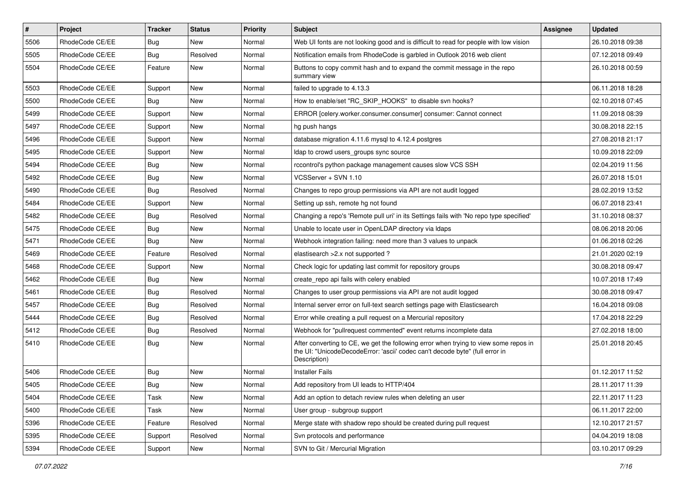| $\vert$ # | Project         | <b>Tracker</b> | <b>Status</b> | Priority | <b>Subject</b>                                                                                                                                                                       | Assignee | <b>Updated</b>   |
|-----------|-----------------|----------------|---------------|----------|--------------------------------------------------------------------------------------------------------------------------------------------------------------------------------------|----------|------------------|
| 5506      | RhodeCode CE/EE | <b>Bug</b>     | New           | Normal   | Web UI fonts are not looking good and is difficult to read for people with low vision                                                                                                |          | 26.10.2018 09:38 |
| 5505      | RhodeCode CE/EE | Bug            | Resolved      | Normal   | Notification emails from RhodeCode is garbled in Outlook 2016 web client                                                                                                             |          | 07.12.2018 09:49 |
| 5504      | RhodeCode CE/EE | Feature        | New           | Normal   | Buttons to copy commit hash and to expand the commit message in the repo<br>summary view                                                                                             |          | 26.10.2018 00:59 |
| 5503      | RhodeCode CE/EE | Support        | <b>New</b>    | Normal   | failed to upgrade to 4.13.3                                                                                                                                                          |          | 06.11.2018 18:28 |
| 5500      | RhodeCode CE/EE | <b>Bug</b>     | New           | Normal   | How to enable/set "RC_SKIP_HOOKS" to disable svn hooks?                                                                                                                              |          | 02.10.2018 07:45 |
| 5499      | RhodeCode CE/EE | Support        | New           | Normal   | ERROR [celery.worker.consumer.consumer] consumer: Cannot connect                                                                                                                     |          | 11.09.2018 08:39 |
| 5497      | RhodeCode CE/EE | Support        | New           | Normal   | hg push hangs                                                                                                                                                                        |          | 30.08.2018 22:15 |
| 5496      | RhodeCode CE/EE | Support        | New           | Normal   | database migration 4.11.6 mysql to 4.12.4 postgres                                                                                                                                   |          | 27.08.2018 21:17 |
| 5495      | RhodeCode CE/EE | Support        | New           | Normal   | Idap to crowd users_groups sync source                                                                                                                                               |          | 10.09.2018 22:09 |
| 5494      | RhodeCode CE/EE | Bug            | New           | Normal   | rccontrol's python package management causes slow VCS SSH                                                                                                                            |          | 02.04.2019 11:56 |
| 5492      | RhodeCode CE/EE | <b>Bug</b>     | New           | Normal   | VCSServer + SVN 1.10                                                                                                                                                                 |          | 26.07.2018 15:01 |
| 5490      | RhodeCode CE/EE | <b>Bug</b>     | Resolved      | Normal   | Changes to repo group permissions via API are not audit logged                                                                                                                       |          | 28.02.2019 13:52 |
| 5484      | RhodeCode CE/EE | Support        | New           | Normal   | Setting up ssh, remote hg not found                                                                                                                                                  |          | 06.07.2018 23:41 |
| 5482      | RhodeCode CE/EE | Bug            | Resolved      | Normal   | Changing a repo's 'Remote pull uri' in its Settings fails with 'No repo type specified'                                                                                              |          | 31.10.2018 08:37 |
| 5475      | RhodeCode CE/EE | <b>Bug</b>     | New           | Normal   | Unable to locate user in OpenLDAP directory via Idaps                                                                                                                                |          | 08.06.2018 20:06 |
| 5471      | RhodeCode CE/EE | <b>Bug</b>     | New           | Normal   | Webhook integration failing: need more than 3 values to unpack                                                                                                                       |          | 01.06.2018 02:26 |
| 5469      | RhodeCode CE/EE | Feature        | Resolved      | Normal   | elastisearch > 2.x not supported?                                                                                                                                                    |          | 21.01.2020 02:19 |
| 5468      | RhodeCode CE/EE | Support        | New           | Normal   | Check logic for updating last commit for repository groups                                                                                                                           |          | 30.08.2018 09:47 |
| 5462      | RhodeCode CE/EE | Bug            | New           | Normal   | create_repo api fails with celery enabled                                                                                                                                            |          | 10.07.2018 17:49 |
| 5461      | RhodeCode CE/EE | <b>Bug</b>     | Resolved      | Normal   | Changes to user group permissions via API are not audit logged                                                                                                                       |          | 30.08.2018 09:47 |
| 5457      | RhodeCode CE/EE | <b>Bug</b>     | Resolved      | Normal   | Internal server error on full-text search settings page with Elasticsearch                                                                                                           |          | 16.04.2018 09:08 |
| 5444      | RhodeCode CE/EE | <b>Bug</b>     | Resolved      | Normal   | Error while creating a pull request on a Mercurial repository                                                                                                                        |          | 17.04.2018 22:29 |
| 5412      | RhodeCode CE/EE | Bug            | Resolved      | Normal   | Webhook for "pullrequest commented" event returns incomplete data                                                                                                                    |          | 27.02.2018 18:00 |
| 5410      | RhodeCode CE/EE | Bug            | New           | Normal   | After converting to CE, we get the following error when trying to view some repos in<br>the UI: "UnicodeDecodeError: 'ascii' codec can't decode byte" (full error in<br>Description) |          | 25.01.2018 20:45 |
| 5406      | RhodeCode CE/EE | Bug            | New           | Normal   | <b>Installer Fails</b>                                                                                                                                                               |          | 01.12.2017 11:52 |
| 5405      | RhodeCode CE/EE | Bug            | New           | Normal   | Add repository from UI leads to HTTP/404                                                                                                                                             |          | 28.11.2017 11:39 |
| 5404      | RhodeCode CE/EE | Task           | New           | Normal   | Add an option to detach review rules when deleting an user                                                                                                                           |          | 22.11.2017 11:23 |
| 5400      | RhodeCode CE/EE | Task           | New           | Normal   | User group - subgroup support                                                                                                                                                        |          | 06.11.2017 22:00 |
| 5396      | RhodeCode CE/EE | Feature        | Resolved      | Normal   | Merge state with shadow repo should be created during pull request                                                                                                                   |          | 12.10.2017 21:57 |
| 5395      | RhodeCode CE/EE | Support        | Resolved      | Normal   | Svn protocols and performance                                                                                                                                                        |          | 04.04.2019 18:08 |
| 5394      | RhodeCode CE/EE | Support        | New           | Normal   | SVN to Git / Mercurial Migration                                                                                                                                                     |          | 03.10.2017 09:29 |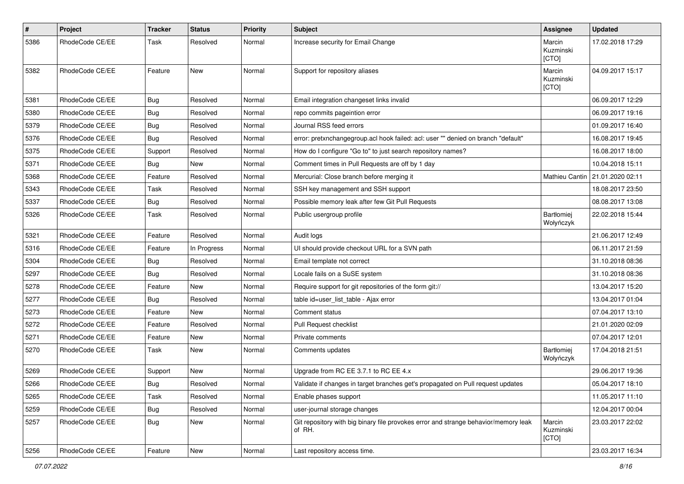| $\#$ | Project         | Tracker    | <b>Status</b> | <b>Priority</b> | <b>Subject</b>                                                                                | Assignee                     | <b>Updated</b>   |
|------|-----------------|------------|---------------|-----------------|-----------------------------------------------------------------------------------------------|------------------------------|------------------|
| 5386 | RhodeCode CE/EE | Task       | Resolved      | Normal          | Increase security for Email Change                                                            | Marcin<br>Kuzminski<br>[CTO] | 17.02.2018 17:29 |
| 5382 | RhodeCode CE/EE | Feature    | New           | Normal          | Support for repository aliases                                                                | Marcin<br>Kuzminski<br>[CTO] | 04.09.2017 15:17 |
| 5381 | RhodeCode CE/EE | <b>Bug</b> | Resolved      | Normal          | Email integration changeset links invalid                                                     |                              | 06.09.2017 12:29 |
| 5380 | RhodeCode CE/EE | <b>Bug</b> | Resolved      | Normal          | repo commits pageintion error                                                                 |                              | 06.09.2017 19:16 |
| 5379 | RhodeCode CE/EE | <b>Bug</b> | Resolved      | Normal          | Journal RSS feed errors                                                                       |                              | 01.09.2017 16:40 |
| 5376 | RhodeCode CE/EE | Bug        | Resolved      | Normal          | error: pretxnchangegroup.acl hook failed: acl: user "" denied on branch "default"             |                              | 16.08.2017 19:45 |
| 5375 | RhodeCode CE/EE | Support    | Resolved      | Normal          | How do I configure "Go to" to just search repository names?                                   |                              | 16.08.2017 18:00 |
| 5371 | RhodeCode CE/EE | Bug        | <b>New</b>    | Normal          | Comment times in Pull Requests are off by 1 day                                               |                              | 10.04.2018 15:11 |
| 5368 | RhodeCode CE/EE | Feature    | Resolved      | Normal          | Mercurial: Close branch before merging it                                                     | Mathieu Cantin               | 21.01.2020 02:11 |
| 5343 | RhodeCode CE/EE | Task       | Resolved      | Normal          | SSH key management and SSH support                                                            |                              | 18.08.2017 23:50 |
| 5337 | RhodeCode CE/EE | Bug        | Resolved      | Normal          | Possible memory leak after few Git Pull Requests                                              |                              | 08.08.2017 13:08 |
| 5326 | RhodeCode CE/EE | Task       | Resolved      | Normal          | Public usergroup profile                                                                      | Bartłomiej<br>Wołyńczyk      | 22.02.2018 15:44 |
| 5321 | RhodeCode CE/EE | Feature    | Resolved      | Normal          | Audit logs                                                                                    |                              | 21.06.2017 12:49 |
| 5316 | RhodeCode CE/EE | Feature    | In Progress   | Normal          | UI should provide checkout URL for a SVN path                                                 |                              | 06.11.2017 21:59 |
| 5304 | RhodeCode CE/EE | Bug        | Resolved      | Normal          | Email template not correct                                                                    |                              | 31.10.2018 08:36 |
| 5297 | RhodeCode CE/EE | <b>Bug</b> | Resolved      | Normal          | Locale fails on a SuSE system                                                                 |                              | 31.10.2018 08:36 |
| 5278 | RhodeCode CE/EE | Feature    | New           | Normal          | Require support for git repositories of the form git://                                       |                              | 13.04.2017 15:20 |
| 5277 | RhodeCode CE/EE | Bug        | Resolved      | Normal          | table id=user_list_table - Ajax error                                                         |                              | 13.04.2017 01:04 |
| 5273 | RhodeCode CE/EE | Feature    | New           | Normal          | Comment status                                                                                |                              | 07.04.2017 13:10 |
| 5272 | RhodeCode CE/EE | Feature    | Resolved      | Normal          | Pull Request checklist                                                                        |                              | 21.01.2020 02:09 |
| 5271 | RhodeCode CE/EE | Feature    | New           | Normal          | Private comments                                                                              |                              | 07.04.2017 12:01 |
| 5270 | RhodeCode CE/EE | Task       | New           | Normal          | Comments updates                                                                              | Bartłomiej<br>Wołyńczyk      | 17.04.2018 21:51 |
| 5269 | RhodeCode CE/EE | Support    | New           | Normal          | Upgrade from RC EE 3.7.1 to RC EE 4.x                                                         |                              | 29.06.2017 19:36 |
| 5266 | RhodeCode CE/EE | Bug        | Resolved      | Normal          | Validate if changes in target branches get's propagated on Pull request updates               |                              | 05.04.2017 18:10 |
| 5265 | RhodeCode CE/EE | Task       | Resolved      | Normal          | Enable phases support                                                                         |                              | 11.05.2017 11:10 |
| 5259 | RhodeCode CE/EE | <b>Bug</b> | Resolved      | Normal          | user-journal storage changes                                                                  |                              | 12.04.2017 00:04 |
| 5257 | RhodeCode CE/EE | <b>Bug</b> | New           | Normal          | Git repository with big binary file provokes error and strange behavior/memory leak<br>of RH. | Marcin<br>Kuzminski<br>[CTO] | 23.03.2017 22:02 |
| 5256 | RhodeCode CE/EE | Feature    | New           | Normal          | Last repository access time.                                                                  |                              | 23.03.2017 16:34 |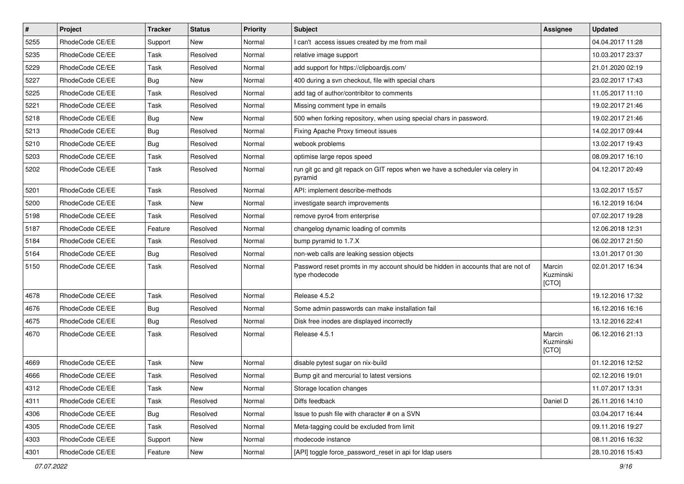| $\pmb{\#}$ | Project         | <b>Tracker</b> | <b>Status</b> | Priority | Subject                                                                                            | <b>Assignee</b>              | <b>Updated</b>   |
|------------|-----------------|----------------|---------------|----------|----------------------------------------------------------------------------------------------------|------------------------------|------------------|
| 5255       | RhodeCode CE/EE | Support        | New           | Normal   | I can't access issues created by me from mail                                                      |                              | 04.04.2017 11:28 |
| 5235       | RhodeCode CE/EE | Task           | Resolved      | Normal   | relative image support                                                                             |                              | 10.03.2017 23:37 |
| 5229       | RhodeCode CE/EE | Task           | Resolved      | Normal   | add support for https://clipboardjs.com/                                                           |                              | 21.01.2020 02:19 |
| 5227       | RhodeCode CE/EE | Bug            | New           | Normal   | 400 during a svn checkout, file with special chars                                                 |                              | 23.02.2017 17:43 |
| 5225       | RhodeCode CE/EE | <b>Task</b>    | Resolved      | Normal   | add tag of author/contribitor to comments                                                          |                              | 11.05.2017 11:10 |
| 5221       | RhodeCode CE/EE | Task           | Resolved      | Normal   | Missing comment type in emails                                                                     |                              | 19.02.2017 21:46 |
| 5218       | RhodeCode CE/EE | Bug            | New           | Normal   | 500 when forking repository, when using special chars in password.                                 |                              | 19.02.2017 21:46 |
| 5213       | RhodeCode CE/EE | Bug            | Resolved      | Normal   | Fixing Apache Proxy timeout issues                                                                 |                              | 14.02.2017 09:44 |
| 5210       | RhodeCode CE/EE | Bug            | Resolved      | Normal   | webook problems                                                                                    |                              | 13.02.2017 19:43 |
| 5203       | RhodeCode CE/EE | Task           | Resolved      | Normal   | optimise large repos speed                                                                         |                              | 08.09.2017 16:10 |
| 5202       | RhodeCode CE/EE | Task           | Resolved      | Normal   | run git gc and git repack on GIT repos when we have a scheduler via celery in<br>pyramid           |                              | 04.12.2017 20:49 |
| 5201       | RhodeCode CE/EE | Task           | Resolved      | Normal   | API: implement describe-methods                                                                    |                              | 13.02.2017 15:57 |
| 5200       | RhodeCode CE/EE | Task           | New           | Normal   | investigate search improvements                                                                    |                              | 16.12.2019 16:04 |
| 5198       | RhodeCode CE/EE | Task           | Resolved      | Normal   | remove pyro4 from enterprise                                                                       |                              | 07.02.2017 19:28 |
| 5187       | RhodeCode CE/EE | Feature        | Resolved      | Normal   | changelog dynamic loading of commits                                                               |                              | 12.06.2018 12:31 |
| 5184       | RhodeCode CE/EE | Task           | Resolved      | Normal   | bump pyramid to 1.7.X                                                                              |                              | 06.02.2017 21:50 |
| 5164       | RhodeCode CE/EE | Bug            | Resolved      | Normal   | non-web calls are leaking session objects                                                          |                              | 13.01.2017 01:30 |
| 5150       | RhodeCode CE/EE | Task           | Resolved      | Normal   | Password reset promts in my account should be hidden in accounts that are not of<br>type rhodecode | Marcin<br>Kuzminski<br>[CTO] | 02.01.2017 16:34 |
| 4678       | RhodeCode CE/EE | Task           | Resolved      | Normal   | Release 4.5.2                                                                                      |                              | 19.12.2016 17:32 |
| 4676       | RhodeCode CE/EE | Bug            | Resolved      | Normal   | Some admin passwords can make installation fail                                                    |                              | 16.12.2016 16:16 |
| 4675       | RhodeCode CE/EE | Bug            | Resolved      | Normal   | Disk free inodes are displayed incorrectly                                                         |                              | 13.12.2016 22:41 |
| 4670       | RhodeCode CE/EE | Task           | Resolved      | Normal   | Release 4.5.1                                                                                      | Marcin<br>Kuzminski<br>[CTO] | 06.12.2016 21:13 |
| 4669       | RhodeCode CE/EE | Task           | New           | Normal   | disable pytest sugar on nix-build                                                                  |                              | 01.12.2016 12:52 |
| 4666       | RhodeCode CE/EE | <b>Task</b>    | Resolved      | Normal   | Bump git and mercurial to latest versions                                                          |                              | 02.12.2016 19:01 |
| 4312       | RhodeCode CE/EE | Task           | New           | Normal   | Storage location changes                                                                           |                              | 11.07.2017 13:31 |
| 4311       | RhodeCode CE/EE | Task           | Resolved      | Normal   | Diffs feedback                                                                                     | Daniel D                     | 26.11.2016 14:10 |
| 4306       | RhodeCode CE/EE | Bug            | Resolved      | Normal   | Issue to push file with character # on a SVN                                                       |                              | 03.04.2017 16:44 |
| 4305       | RhodeCode CE/EE | Task           | Resolved      | Normal   | Meta-tagging could be excluded from limit                                                          |                              | 09.11.2016 19:27 |
| 4303       | RhodeCode CE/EE | Support        | New           | Normal   | rhodecode instance                                                                                 |                              | 08.11.2016 16:32 |
| 4301       | RhodeCode CE/EE | Feature        | New           | Normal   | [API] toggle force_password_reset in api for Idap users                                            |                              | 28.10.2016 15:43 |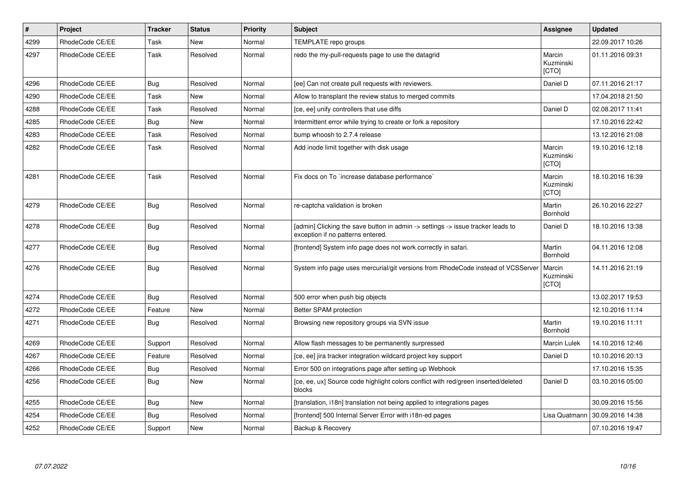| $\vert$ # | Project         | <b>Tracker</b> | <b>Status</b> | <b>Priority</b> | Subject                                                                                                              | <b>Assignee</b>              | <b>Updated</b>   |
|-----------|-----------------|----------------|---------------|-----------------|----------------------------------------------------------------------------------------------------------------------|------------------------------|------------------|
| 4299      | RhodeCode CE/EE | Task           | <b>New</b>    | Normal          | TEMPLATE repo groups                                                                                                 |                              | 22.09.2017 10:26 |
| 4297      | RhodeCode CE/EE | Task           | Resolved      | Normal          | redo the my-pull-requests page to use the datagrid                                                                   | Marcin<br>Kuzminski<br>[CTO] | 01.11.2016 09:31 |
| 4296      | RhodeCode CE/EE | Bug            | Resolved      | Normal          | [ee] Can not create pull requests with reviewers.                                                                    | Daniel D                     | 07.11.2016 21:17 |
| 4290      | RhodeCode CE/EE | Task           | <b>New</b>    | Normal          | Allow to transplant the review status to merged commits                                                              |                              | 17.04.2018 21:50 |
| 4288      | RhodeCode CE/EE | Task           | Resolved      | Normal          | [ce, ee] unify controllers that use diffs                                                                            | Daniel D                     | 02.08.2017 11:41 |
| 4285      | RhodeCode CE/EE | Bug            | New           | Normal          | Intermittent error while trying to create or fork a repository                                                       |                              | 17.10.2016 22:42 |
| 4283      | RhodeCode CE/EE | Task           | Resolved      | Normal          | bump whoosh to 2.7.4 release                                                                                         |                              | 13.12.2016 21:08 |
| 4282      | RhodeCode CE/EE | Task           | Resolved      | Normal          | Add inode limit together with disk usage                                                                             | Marcin<br>Kuzminski<br>[CTO] | 19.10.2016 12:18 |
| 4281      | RhodeCode CE/EE | Task           | Resolved      | Normal          | Fix docs on To `increase database performance`                                                                       | Marcin<br>Kuzminski<br>[CTO] | 18.10.2016 16:39 |
| 4279      | RhodeCode CE/EE | <b>Bug</b>     | Resolved      | Normal          | re-captcha validation is broken                                                                                      | Martin<br>Bornhold           | 26.10.2016 22:27 |
| 4278      | RhodeCode CE/EE | Bug            | Resolved      | Normal          | [admin] Clicking the save button in admin -> settings -> issue tracker leads to<br>exception if no patterns entered. | Daniel D                     | 18.10.2016 13:38 |
| 4277      | RhodeCode CE/EE | Bug            | Resolved      | Normal          | [frontend] System info page does not work correctly in safari.                                                       | Martin<br>Bornhold           | 04.11.2016 12:08 |
| 4276      | RhodeCode CE/EE | Bug            | Resolved      | Normal          | System info page uses mercurial/git versions from RhodeCode instead of VCSServer                                     | Marcin<br>Kuzminski<br>[CTO] | 14.11.2016 21:19 |
| 4274      | RhodeCode CE/EE | Bug            | Resolved      | Normal          | 500 error when push big objects                                                                                      |                              | 13.02.2017 19:53 |
| 4272      | RhodeCode CE/EE | Feature        | New           | Normal          | Better SPAM protection                                                                                               |                              | 12.10.2016 11:14 |
| 4271      | RhodeCode CE/EE | Bug            | Resolved      | Normal          | Browsing new repository groups via SVN issue                                                                         | Martin<br>Bornhold           | 19.10.2016 11:11 |
| 4269      | RhodeCode CE/EE | Support        | Resolved      | Normal          | Allow flash messages to be permanently surpressed                                                                    | Marcin Lulek                 | 14.10.2016 12:46 |
| 4267      | RhodeCode CE/EE | Feature        | Resolved      | Normal          | [ce, ee] jira tracker integration wildcard project key support                                                       | Daniel D                     | 10.10.2016 20:13 |
| 4266      | RhodeCode CE/EE | Bug            | Resolved      | Normal          | Error 500 on integrations page after setting up Webhook                                                              |                              | 17.10.2016 15:35 |
| 4256      | RhodeCode CE/EE | Bug            | New           | Normal          | [ce, ee, ux] Source code highlight colors conflict with red/green inserted/deleted<br>blocks                         | Daniel D                     | 03.10.2016 05:00 |
| 4255      | RhodeCode CE/EE | Bug            | New           | Normal          | [translation, i18n] translation not being applied to integrations pages                                              |                              | 30.09.2016 15:56 |
| 4254      | RhodeCode CE/EE | Bug            | Resolved      | Normal          | [frontend] 500 Internal Server Error with i18n-ed pages                                                              | Lisa Quatmann                | 30.09.2016 14:38 |
| 4252      | RhodeCode CE/EE | Support        | <b>New</b>    | Normal          | Backup & Recovery                                                                                                    |                              | 07.10.2016 19:47 |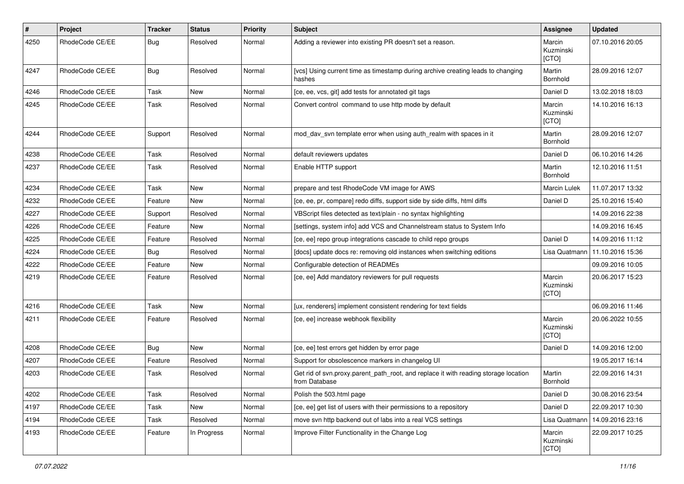| $\sharp$ | Project         | <b>Tracker</b> | <b>Status</b> | <b>Priority</b> | <b>Subject</b>                                                                                       | Assignee                     | <b>Updated</b>   |
|----------|-----------------|----------------|---------------|-----------------|------------------------------------------------------------------------------------------------------|------------------------------|------------------|
| 4250     | RhodeCode CE/EE | Bug            | Resolved      | Normal          | Adding a reviewer into existing PR doesn't set a reason.                                             | Marcin<br>Kuzminski<br>[CTO] | 07.10.2016 20:05 |
| 4247     | RhodeCode CE/EE | Bug            | Resolved      | Normal          | [vcs] Using current time as timestamp during archive creating leads to changing<br>hashes            | Martin<br>Bornhold           | 28.09.2016 12:07 |
| 4246     | RhodeCode CE/EE | Task           | New           | Normal          | [ce, ee, vcs, git] add tests for annotated git tags                                                  | Daniel D                     | 13.02.2018 18:03 |
| 4245     | RhodeCode CE/EE | Task           | Resolved      | Normal          | Convert control command to use http mode by default                                                  | Marcin<br>Kuzminski<br>[CTO] | 14.10.2016 16:13 |
| 4244     | RhodeCode CE/EE | Support        | Resolved      | Normal          | mod_dav_svn template error when using auth_realm with spaces in it                                   | Martin<br>Bornhold           | 28.09.2016 12:07 |
| 4238     | RhodeCode CE/EE | Task           | Resolved      | Normal          | default reviewers updates                                                                            | Daniel D                     | 06.10.2016 14:26 |
| 4237     | RhodeCode CE/EE | Task           | Resolved      | Normal          | Enable HTTP support                                                                                  | Martin<br>Bornhold           | 12.10.2016 11:51 |
| 4234     | RhodeCode CE/EE | Task           | <b>New</b>    | Normal          | prepare and test RhodeCode VM image for AWS                                                          | Marcin Lulek                 | 11.07.2017 13:32 |
| 4232     | RhodeCode CE/EE | Feature        | New           | Normal          | [ce, ee, pr, compare] redo diffs, support side by side diffs, html diffs                             | Daniel D                     | 25.10.2016 15:40 |
| 4227     | RhodeCode CE/EE | Support        | Resolved      | Normal          | VBScript files detected as text/plain - no syntax highlighting                                       |                              | 14.09.2016 22:38 |
| 4226     | RhodeCode CE/EE | Feature        | New           | Normal          | [settings, system info] add VCS and Channelstream status to System Info                              |                              | 14.09.2016 16:45 |
| 4225     | RhodeCode CE/EE | Feature        | Resolved      | Normal          | [ce, ee] repo group integrations cascade to child repo groups                                        | Daniel D                     | 14.09.2016 11:12 |
| 4224     | RhodeCode CE/EE | <b>Bug</b>     | Resolved      | Normal          | [docs] update docs re: removing old instances when switching editions                                | Lisa Quatmann                | 11.10.2016 15:36 |
| 4222     | RhodeCode CE/EE | Feature        | <b>New</b>    | Normal          | Configurable detection of READMEs                                                                    |                              | 09.09.2016 10:05 |
| 4219     | RhodeCode CE/EE | Feature        | Resolved      | Normal          | [ce, ee] Add mandatory reviewers for pull requests                                                   | Marcin<br>Kuzminski<br>[CTO] | 20.06.2017 15:23 |
| 4216     | RhodeCode CE/EE | Task           | New           | Normal          | [ux, renderers] implement consistent rendering for text fields                                       |                              | 06.09.2016 11:46 |
| 4211     | RhodeCode CE/EE | Feature        | Resolved      | Normal          | [ce, ee] increase webhook flexibility                                                                | Marcin<br>Kuzminski<br>[CTO] | 20.06.2022 10:55 |
| 4208     | RhodeCode CE/EE | Bug            | <b>New</b>    | Normal          | [ce, ee] test errors get hidden by error page                                                        | Daniel D                     | 14.09.2016 12:00 |
| 4207     | RhodeCode CE/EE | Feature        | Resolved      | Normal          | Support for obsolescence markers in changelog UI                                                     |                              | 19.05.2017 16:14 |
| 4203     | RhodeCode CE/EE | Task           | Resolved      | Normal          | Get rid of svn.proxy.parent_path_root, and replace it with reading storage location<br>from Database | Martin<br>Bornhold           | 22.09.2016 14:31 |
| 4202     | RhodeCode CE/EE | Task           | Resolved      | Normal          | Polish the 503.html page                                                                             | Daniel D                     | 30.08.2016 23:54 |
| 4197     | RhodeCode CE/EE | Task           | New           | Normal          | [ce, ee] get list of users with their permissions to a repository                                    | Daniel D                     | 22.09.2017 10:30 |
| 4194     | RhodeCode CE/EE | Task           | Resolved      | Normal          | move svn http backend out of labs into a real VCS settings                                           | Lisa Quatmann                | 14.09.2016 23:16 |
| 4193     | RhodeCode CE/EE | Feature        | In Progress   | Normal          | Improve Filter Functionality in the Change Log                                                       | Marcin<br>Kuzminski<br>[CTO] | 22.09.2017 10:25 |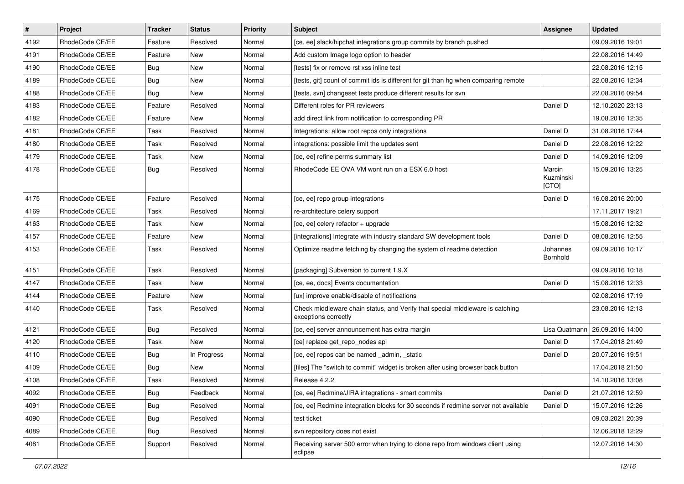| $\vert$ # | Project         | <b>Tracker</b> | <b>Status</b> | Priority | Subject                                                                                               | <b>Assignee</b>              | <b>Updated</b>   |
|-----------|-----------------|----------------|---------------|----------|-------------------------------------------------------------------------------------------------------|------------------------------|------------------|
| 4192      | RhodeCode CE/EE | Feature        | Resolved      | Normal   | [ce, ee] slack/hipchat integrations group commits by branch pushed                                    |                              | 09.09.2016 19:01 |
| 4191      | RhodeCode CE/EE | Feature        | <b>New</b>    | Normal   | Add custom Image logo option to header                                                                |                              | 22.08.2016 14:49 |
| 4190      | RhodeCode CE/EE | Bug            | New           | Normal   | [tests] fix or remove rst xss inline test                                                             |                              | 22.08.2016 12:15 |
| 4189      | RhodeCode CE/EE | Bug            | New           | Normal   | [tests, git] count of commit ids is different for git than hg when comparing remote                   |                              | 22.08.2016 12:34 |
| 4188      | RhodeCode CE/EE | Bug            | <b>New</b>    | Normal   | [tests, svn] changeset tests produce different results for svn                                        |                              | 22.08.2016 09:54 |
| 4183      | RhodeCode CE/EE | Feature        | Resolved      | Normal   | Different roles for PR reviewers                                                                      | Daniel D                     | 12.10.2020 23:13 |
| 4182      | RhodeCode CE/EE | Feature        | <b>New</b>    | Normal   | add direct link from notification to corresponding PR                                                 |                              | 19.08.2016 12:35 |
| 4181      | RhodeCode CE/EE | Task           | Resolved      | Normal   | Integrations: allow root repos only integrations                                                      | Daniel D                     | 31.08.2016 17:44 |
| 4180      | RhodeCode CE/EE | Task           | Resolved      | Normal   | integrations: possible limit the updates sent                                                         | Daniel D                     | 22.08.2016 12:22 |
| 4179      | RhodeCode CE/EE | Task           | <b>New</b>    | Normal   | [ce, ee] refine perms summary list                                                                    | Daniel D                     | 14.09.2016 12:09 |
| 4178      | RhodeCode CE/EE | Bug            | Resolved      | Normal   | RhodeCode EE OVA VM wont run on a ESX 6.0 host                                                        | Marcin<br>Kuzminski<br>[CTO] | 15.09.2016 13:25 |
| 4175      | RhodeCode CE/EE | Feature        | Resolved      | Normal   | [ce, ee] repo group integrations                                                                      | Daniel D                     | 16.08.2016 20:00 |
| 4169      | RhodeCode CE/EE | Task           | Resolved      | Normal   | re-architecture celery support                                                                        |                              | 17.11.2017 19:21 |
| 4163      | RhodeCode CE/EE | Task           | <b>New</b>    | Normal   | [ce, ee] celery refactor + upgrade                                                                    |                              | 15.08.2016 12:32 |
| 4157      | RhodeCode CE/EE | Feature        | <b>New</b>    | Normal   | [integrations] Integrate with industry standard SW development tools                                  | Daniel D                     | 08.08.2016 12:55 |
| 4153      | RhodeCode CE/EE | Task           | Resolved      | Normal   | Optimize readme fetching by changing the system of readme detection                                   | Johannes<br>Bornhold         | 09.09.2016 10:17 |
| 4151      | RhodeCode CE/EE | Task           | Resolved      | Normal   | [packaging] Subversion to current 1.9.X                                                               |                              | 09.09.2016 10:18 |
| 4147      | RhodeCode CE/EE | Task           | <b>New</b>    | Normal   | [ce, ee, docs] Events documentation                                                                   | Daniel D                     | 15.08.2016 12:33 |
| 4144      | RhodeCode CE/EE | Feature        | New           | Normal   | [ux] improve enable/disable of notifications                                                          |                              | 02.08.2016 17:19 |
| 4140      | RhodeCode CE/EE | Task           | Resolved      | Normal   | Check middleware chain status, and Verify that special middleware is catching<br>exceptions correctly |                              | 23.08.2016 12:13 |
| 4121      | RhodeCode CE/EE | Bug            | Resolved      | Normal   | [ce, ee] server announcement has extra margin                                                         | Lisa Quatmann                | 26.09.2016 14:00 |
| 4120      | RhodeCode CE/EE | Task           | <b>New</b>    | Normal   | [ce] replace get_repo_nodes api                                                                       | Daniel D                     | 17.04.2018 21:49 |
| 4110      | RhodeCode CE/EE | Bug            | In Progress   | Normal   | [ce, ee] repos can be named _admin, _static                                                           | Daniel D                     | 20.07.2016 19:51 |
| 4109      | RhodeCode CE/EE | Bug            | <b>New</b>    | Normal   | [files] The "switch to commit" widget is broken after using browser back button                       |                              | 17.04.2018 21:50 |
| 4108      | RhodeCode CE/EE | Task           | Resolved      | Normal   | Release 4.2.2                                                                                         |                              | 14.10.2016 13:08 |
| 4092      | RhodeCode CE/EE | <b>Bug</b>     | Feedback      | Normal   | [ce, ee] Redmine/JIRA integrations - smart commits                                                    | Daniel D                     | 21.07.2016 12:59 |
| 4091      | RhodeCode CE/EE | <b>Bug</b>     | Resolved      | Normal   | [ce, ee] Redmine integration blocks for 30 seconds if redmine server not available                    | Daniel D                     | 15.07.2016 12:26 |
| 4090      | RhodeCode CE/EE | <b>Bug</b>     | Resolved      | Normal   | test ticket                                                                                           |                              | 09.03.2021 20:39 |
| 4089      | RhodeCode CE/EE | <b>Bug</b>     | Resolved      | Normal   | svn repository does not exist                                                                         |                              | 12.06.2018 12:29 |
| 4081      | RhodeCode CE/EE | Support        | Resolved      | Normal   | Receiving server 500 error when trying to clone repo from windows client using<br>eclipse             |                              | 12.07.2016 14:30 |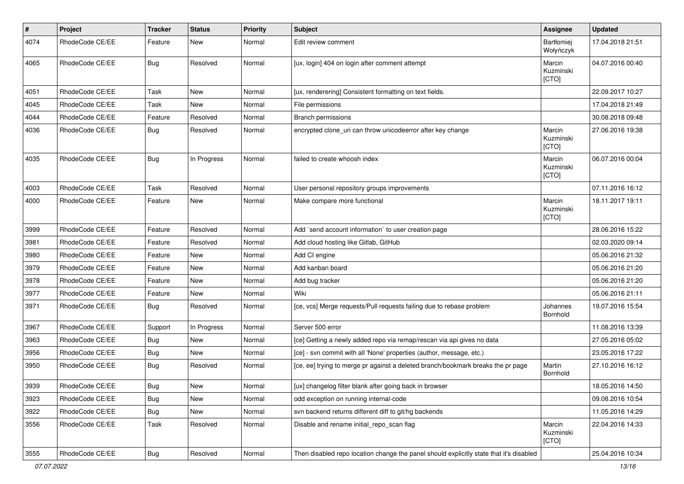| $\sharp$ | Project         | <b>Tracker</b> | <b>Status</b> | <b>Priority</b> | <b>Subject</b>                                                                          | <b>Assignee</b>              | <b>Updated</b>   |
|----------|-----------------|----------------|---------------|-----------------|-----------------------------------------------------------------------------------------|------------------------------|------------------|
| 4074     | RhodeCode CE/EE | Feature        | New           | Normal          | Edit review comment                                                                     | Bartłomiej<br>Wołyńczyk      | 17.04.2018 21:51 |
| 4065     | RhodeCode CE/EE | Bug            | Resolved      | Normal          | [ux, login] 404 on login after comment attempt                                          | Marcin<br>Kuzminski<br>[CTO] | 04.07.2016 00:40 |
| 4051     | RhodeCode CE/EE | Task           | New           | Normal          | [ux, renderering] Consistent formatting on text fields.                                 |                              | 22.09.2017 10:27 |
| 4045     | RhodeCode CE/EE | Task           | New           | Normal          | File permissions                                                                        |                              | 17.04.2018 21:49 |
| 4044     | RhodeCode CE/EE | Feature        | Resolved      | Normal          | Branch permissions                                                                      |                              | 30.08.2018 09:48 |
| 4036     | RhodeCode CE/EE | Bug            | Resolved      | Normal          | encrypted clone_uri can throw unicodeerror after key change                             | Marcin<br>Kuzminski<br>[CTO] | 27.06.2016 19:38 |
| 4035     | RhodeCode CE/EE | Bug            | In Progress   | Normal          | failed to create whoosh index                                                           | Marcin<br>Kuzminski<br>[CTO] | 06.07.2016 00:04 |
| 4003     | RhodeCode CE/EE | Task           | Resolved      | Normal          | User personal repository groups improvements                                            |                              | 07.11.2016 16:12 |
| 4000     | RhodeCode CE/EE | Feature        | <b>New</b>    | Normal          | Make compare more functional                                                            | Marcin<br>Kuzminski<br>[CTO] | 18.11.2017 19:11 |
| 3999     | RhodeCode CE/EE | Feature        | Resolved      | Normal          | Add `send account information` to user creation page                                    |                              | 28.06.2016 15:22 |
| 3981     | RhodeCode CE/EE | Feature        | Resolved      | Normal          | Add cloud hosting like Gitlab, GitHub                                                   |                              | 02.03.2020 09:14 |
| 3980     | RhodeCode CE/EE | Feature        | New           | Normal          | Add CI engine                                                                           |                              | 05.06.2016 21:32 |
| 3979     | RhodeCode CE/EE | Feature        | New           | Normal          | Add kanban board                                                                        |                              | 05.06.2016 21:20 |
| 3978     | RhodeCode CE/EE | Feature        | New           | Normal          | Add bug tracker                                                                         |                              | 05.06.2016 21:20 |
| 3977     | RhodeCode CE/EE | Feature        | <b>New</b>    | Normal          | Wiki                                                                                    |                              | 05.06.2016 21:11 |
| 3971     | RhodeCode CE/EE | Bug            | Resolved      | Normal          | [ce, vcs] Merge requests/Pull requests failing due to rebase problem                    | Johannes<br>Bornhold         | 19.07.2016 15:54 |
| 3967     | RhodeCode CE/EE | Support        | In Progress   | Normal          | Server 500 error                                                                        |                              | 11.08.2016 13:39 |
| 3963     | RhodeCode CE/EE | Bug            | New           | Normal          | [ce] Getting a newly added repo via remap/rescan via api gives no data                  |                              | 27.05.2016 05:02 |
| 3956     | RhodeCode CE/EE | Bug            | <b>New</b>    | Normal          | [ce] - svn commit with all 'None' properties (author, message, etc.)                    |                              | 23.05.2016 17:22 |
| 3950     | RhodeCode CE/EE | Bug            | Resolved      | Normal          | [ce, ee] trying to merge pr against a deleted branch/bookmark breaks the pr page        | Martin<br>Bornhold           | 27.10.2016 16:12 |
| 3939     | RhodeCode CE/EE | <b>Bug</b>     | New           | Normal          | [ux] changelog filter blank after going back in browser                                 |                              | 18.05.2016 14:50 |
| 3923     | RhodeCode CE/EE | Bug            | New           | Normal          | odd exception on running internal-code                                                  |                              | 09.08.2016 10:54 |
| 3922     | RhodeCode CE/EE | Bug            | New           | Normal          | svn backend returns different diff to git/hg backends                                   |                              | 11.05.2016 14:29 |
| 3556     | RhodeCode CE/EE | Task           | Resolved      | Normal          | Disable and rename initial_repo_scan flag                                               | Marcin<br>Kuzminski<br>[CTO] | 22.04.2016 14:33 |
| 3555     | RhodeCode CE/EE | Bug            | Resolved      | Normal          | Then disabled repo location change the panel should explicitly state that it's disabled |                              | 25.04.2016 10:34 |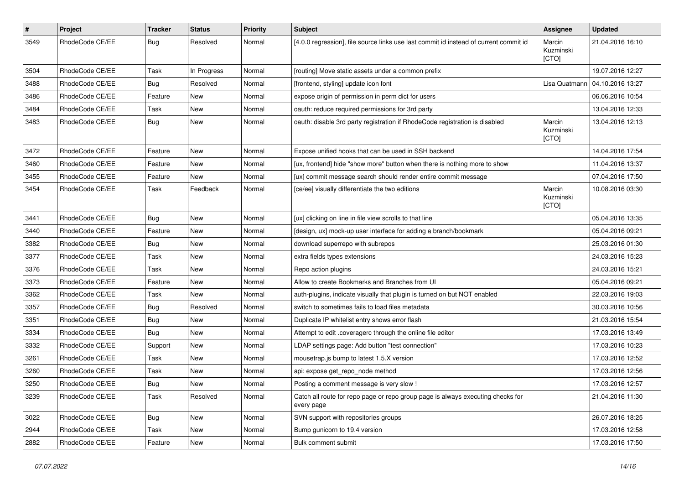| $\pmb{\#}$ | Project         | <b>Tracker</b> | <b>Status</b> | <b>Priority</b> | <b>Subject</b>                                                                                | Assignee                     | <b>Updated</b>   |
|------------|-----------------|----------------|---------------|-----------------|-----------------------------------------------------------------------------------------------|------------------------------|------------------|
| 3549       | RhodeCode CE/EE | Bug            | Resolved      | Normal          | [4.0.0 regression], file source links use last commit id instead of current commit id         | Marcin<br>Kuzminski<br>[CTO] | 21.04.2016 16:10 |
| 3504       | RhodeCode CE/EE | Task           | In Progress   | Normal          | [routing] Move static assets under a common prefix                                            |                              | 19.07.2016 12:27 |
| 3488       | RhodeCode CE/EE | Bug            | Resolved      | Normal          | [frontend, styling] update icon font                                                          | Lisa Quatmann                | 04.10.2016 13:27 |
| 3486       | RhodeCode CE/EE | Feature        | New           | Normal          | expose origin of permission in perm dict for users                                            |                              | 06.06.2016 10:54 |
| 3484       | RhodeCode CE/EE | Task           | <b>New</b>    | Normal          | oauth: reduce required permissions for 3rd party                                              |                              | 13.04.2016 12:33 |
| 3483       | RhodeCode CE/EE | Bug            | New           | Normal          | oauth: disable 3rd party registration if RhodeCode registration is disabled                   | Marcin<br>Kuzminski<br>[CTO] | 13.04.2016 12:13 |
| 3472       | RhodeCode CE/EE | Feature        | New           | Normal          | Expose unified hooks that can be used in SSH backend                                          |                              | 14.04.2016 17:54 |
| 3460       | RhodeCode CE/EE | Feature        | New           | Normal          | [ux, frontend] hide "show more" button when there is nothing more to show                     |                              | 11.04.2016 13:37 |
| 3455       | RhodeCode CE/EE | Feature        | <b>New</b>    | Normal          | [ux] commit message search should render entire commit message                                |                              | 07.04.2016 17:50 |
| 3454       | RhodeCode CE/EE | Task           | Feedback      | Normal          | [ce/ee] visually differentiate the two editions                                               | Marcin<br>Kuzminski<br>[CTO] | 10.08.2016 03:30 |
| 3441       | RhodeCode CE/EE | <b>Bug</b>     | <b>New</b>    | Normal          | [ux] clicking on line in file view scrolls to that line                                       |                              | 05.04.2016 13:35 |
| 3440       | RhodeCode CE/EE | Feature        | <b>New</b>    | Normal          | [design, ux] mock-up user interface for adding a branch/bookmark                              |                              | 05.04.2016 09:21 |
| 3382       | RhodeCode CE/EE | Bug            | New           | Normal          | download superrepo with subrepos                                                              |                              | 25.03.2016 01:30 |
| 3377       | RhodeCode CE/EE | Task           | New           | Normal          | extra fields types extensions                                                                 |                              | 24.03.2016 15:23 |
| 3376       | RhodeCode CE/EE | Task           | <b>New</b>    | Normal          | Repo action plugins                                                                           |                              | 24.03.2016 15:21 |
| 3373       | RhodeCode CE/EE | Feature        | New           | Normal          | Allow to create Bookmarks and Branches from UI                                                |                              | 05.04.2016 09:21 |
| 3362       | RhodeCode CE/EE | Task           | <b>New</b>    | Normal          | auth-plugins, indicate visually that plugin is turned on but NOT enabled                      |                              | 22.03.2016 19:03 |
| 3357       | RhodeCode CE/EE | Bug            | Resolved      | Normal          | switch to sometimes fails to load files metadata                                              |                              | 30.03.2016 10:56 |
| 3351       | RhodeCode CE/EE | <b>Bug</b>     | New           | Normal          | Duplicate IP whitelist entry shows error flash                                                |                              | 21.03.2016 15:54 |
| 3334       | RhodeCode CE/EE | Bug            | <b>New</b>    | Normal          | Attempt to edit .coveragerc through the online file editor                                    |                              | 17.03.2016 13:49 |
| 3332       | RhodeCode CE/EE | Support        | <b>New</b>    | Normal          | LDAP settings page: Add button "test connection"                                              |                              | 17.03.2016 10:23 |
| 3261       | RhodeCode CE/EE | Task           | New           | Normal          | mousetrap.js bump to latest 1.5.X version                                                     |                              | 17.03.2016 12:52 |
| 3260       | RhodeCode CE/EE | Task           | New           | Normal          | api: expose get_repo_node method                                                              |                              | 17.03.2016 12:56 |
| 3250       | RhodeCode CE/EE | Bug            | New           | Normal          | Posting a comment message is very slow!                                                       |                              | 17.03.2016 12:57 |
| 3239       | RhodeCode CE/EE | Task           | Resolved      | Normal          | Catch all route for repo page or repo group page is always executing checks for<br>every page |                              | 21.04.2016 11:30 |
| 3022       | RhodeCode CE/EE | Bug            | New           | Normal          | SVN support with repositories groups                                                          |                              | 26.07.2016 18:25 |
| 2944       | RhodeCode CE/EE | Task           | New           | Normal          | Bump gunicorn to 19.4 version                                                                 |                              | 17.03.2016 12:58 |
| 2882       | RhodeCode CE/EE | Feature        | New           | Normal          | Bulk comment submit                                                                           |                              | 17.03.2016 17:50 |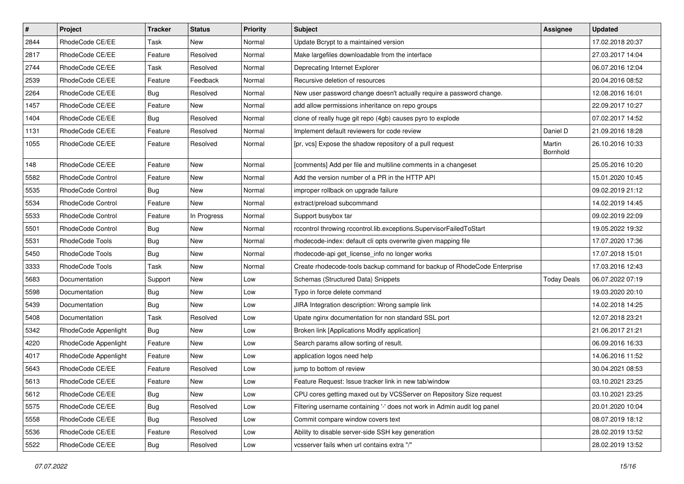| $\vert$ # | Project              | <b>Tracker</b> | <b>Status</b> | <b>Priority</b> | <b>Subject</b>                                                           | <b>Assignee</b>    | <b>Updated</b>   |
|-----------|----------------------|----------------|---------------|-----------------|--------------------------------------------------------------------------|--------------------|------------------|
| 2844      | RhodeCode CE/EE      | Task           | New           | Normal          | Update Bcrypt to a maintained version                                    |                    | 17.02.2018 20:37 |
| 2817      | RhodeCode CE/EE      | Feature        | Resolved      | Normal          | Make largefiles downloadable from the interface                          |                    | 27.03.2017 14:04 |
| 2744      | RhodeCode CE/EE      | Task           | Resolved      | Normal          | Deprecating Internet Explorer                                            |                    | 06.07.2016 12:04 |
| 2539      | RhodeCode CE/EE      | Feature        | Feedback      | Normal          | Recursive deletion of resources                                          |                    | 20.04.2016 08:52 |
| 2264      | RhodeCode CE/EE      | <b>Bug</b>     | Resolved      | Normal          | New user password change doesn't actually require a password change.     |                    | 12.08.2016 16:01 |
| 1457      | RhodeCode CE/EE      | Feature        | New           | Normal          | add allow permissions inheritance on repo groups                         |                    | 22.09.2017 10:27 |
| 1404      | RhodeCode CE/EE      | Bug            | Resolved      | Normal          | clone of really huge git repo (4gb) causes pyro to explode               |                    | 07.02.2017 14:52 |
| 1131      | RhodeCode CE/EE      | Feature        | Resolved      | Normal          | Implement default reviewers for code review                              | Daniel D           | 21.09.2016 18:28 |
| 1055      | RhodeCode CE/EE      | Feature        | Resolved      | Normal          | [pr, vcs] Expose the shadow repository of a pull request                 | Martin<br>Bornhold | 26.10.2016 10:33 |
| 148       | RhodeCode CE/EE      | Feature        | New           | Normal          | [comments] Add per file and multiline comments in a changeset            |                    | 25.05.2016 10:20 |
| 5582      | RhodeCode Control    | Feature        | New           | Normal          | Add the version number of a PR in the HTTP API                           |                    | 15.01.2020 10:45 |
| 5535      | RhodeCode Control    | <b>Bug</b>     | New           | Normal          | improper rollback on upgrade failure                                     |                    | 09.02.2019 21:12 |
| 5534      | RhodeCode Control    | Feature        | New           | Normal          | extract/preload subcommand                                               |                    | 14.02.2019 14:45 |
| 5533      | RhodeCode Control    | Feature        | In Progress   | Normal          | Support busybox tar                                                      |                    | 09.02.2019 22:09 |
| 5501      | RhodeCode Control    | <b>Bug</b>     | New           | Normal          | rccontrol throwing rccontrol.lib.exceptions.SupervisorFailedToStart      |                    | 19.05.2022 19:32 |
| 5531      | RhodeCode Tools      | <b>Bug</b>     | New           | Normal          | rhodecode-index: default cli opts overwrite given mapping file           |                    | 17.07.2020 17:36 |
| 5450      | RhodeCode Tools      | <b>Bug</b>     | New           | Normal          | rhodecode-api get_license_info no longer works                           |                    | 17.07.2018 15:01 |
| 3333      | RhodeCode Tools      | Task           | New           | Normal          | Create rhodecode-tools backup command for backup of RhodeCode Enterprise |                    | 17.03.2016 12:43 |
| 5683      | Documentation        | Support        | New           | Low             | Schemas (Structured Data) Snippets                                       | <b>Today Deals</b> | 06.07.2022 07:19 |
| 5598      | Documentation        | Bug            | New           | Low             | Typo in force delete command                                             |                    | 19.03.2020 20:10 |
| 5439      | Documentation        | <b>Bug</b>     | New           | Low             | JIRA Integration description: Wrong sample link                          |                    | 14.02.2018 14:25 |
| 5408      | Documentation        | Task           | Resolved      | Low             | Upate nginx documentation for non standard SSL port                      |                    | 12.07.2018 23:21 |
| 5342      | RhodeCode Appenlight | Bug            | New           | Low             | Broken link [Applications Modify application]                            |                    | 21.06.2017 21:21 |
| 4220      | RhodeCode Appenlight | Feature        | New           | Low             | Search params allow sorting of result.                                   |                    | 06.09.2016 16:33 |
| 4017      | RhodeCode Appenlight | Feature        | <b>New</b>    | Low             | application logos need help                                              |                    | 14.06.2016 11:52 |
| 5643      | RhodeCode CE/EE      | Feature        | Resolved      | Low             | jump to bottom of review                                                 |                    | 30.04.2021 08:53 |
| 5613      | RhodeCode CE/EE      | Feature        | New           | Low             | Feature Request: Issue tracker link in new tab/window                    |                    | 03.10.2021 23:25 |
| 5612      | RhodeCode CE/EE      | Bug            | New           | Low             | CPU cores getting maxed out by VCSServer on Repository Size request      |                    | 03.10.2021 23:25 |
| 5575      | RhodeCode CE/EE      | <b>Bug</b>     | Resolved      | Low             | Filtering username containing '-' does not work in Admin audit log panel |                    | 20.01.2020 10:04 |
| 5558      | RhodeCode CE/EE      | <b>Bug</b>     | Resolved      | Low             | Commit compare window covers text                                        |                    | 08.07.2019 18:12 |
| 5536      | RhodeCode CE/EE      | Feature        | Resolved      | Low             | Ability to disable server-side SSH key generation                        |                    | 28.02.2019 13:52 |
| 5522      | RhodeCode CE/EE      | Bug            | Resolved      | Low             | vcsserver fails when url contains extra "/"                              |                    | 28.02.2019 13:52 |